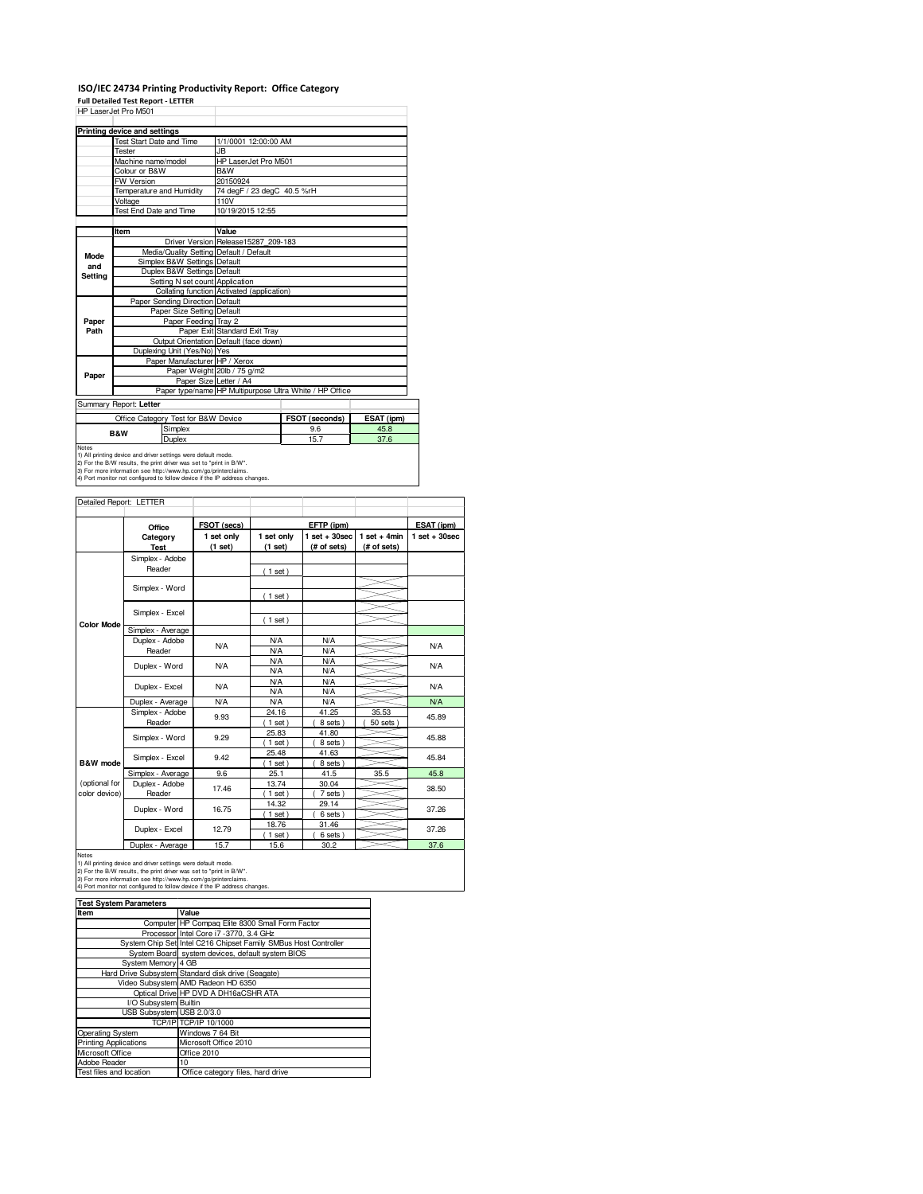### **ISO/IEC 24734 Printing Productivity Report: Office Category**

**Full Detailed Test Report - LETTER**

|                                                                                                                                                                                                                                                                                                | HP Laser Jet Pro M501                   |                                            |                                                         |            |  |  |
|------------------------------------------------------------------------------------------------------------------------------------------------------------------------------------------------------------------------------------------------------------------------------------------------|-----------------------------------------|--------------------------------------------|---------------------------------------------------------|------------|--|--|
|                                                                                                                                                                                                                                                                                                | Printing device and settings            |                                            |                                                         |            |  |  |
|                                                                                                                                                                                                                                                                                                | <b>Test Start Date and Time</b>         | 1/1/0001 12:00:00 AM                       |                                                         |            |  |  |
|                                                                                                                                                                                                                                                                                                | Tester                                  | JB.                                        |                                                         |            |  |  |
|                                                                                                                                                                                                                                                                                                | Machine name/model                      | HP LaserJet Pro M501                       |                                                         |            |  |  |
|                                                                                                                                                                                                                                                                                                | Colour or B&W                           | B&W                                        |                                                         |            |  |  |
|                                                                                                                                                                                                                                                                                                | <b>FW Version</b>                       | 20150924                                   |                                                         |            |  |  |
|                                                                                                                                                                                                                                                                                                | Temperature and Humidity                | 74 degF / 23 degC 40.5 %rH                 |                                                         |            |  |  |
|                                                                                                                                                                                                                                                                                                | Voltage                                 | 110V                                       |                                                         |            |  |  |
|                                                                                                                                                                                                                                                                                                | Test End Date and Time                  | 10/19/2015 12:55                           |                                                         |            |  |  |
|                                                                                                                                                                                                                                                                                                |                                         |                                            |                                                         |            |  |  |
|                                                                                                                                                                                                                                                                                                | Item                                    | Value                                      |                                                         |            |  |  |
|                                                                                                                                                                                                                                                                                                |                                         | Driver Version Release15287 209-183        |                                                         |            |  |  |
| Mode                                                                                                                                                                                                                                                                                           | Media/Quality Setting Default / Default |                                            |                                                         |            |  |  |
| and                                                                                                                                                                                                                                                                                            | Simplex B&W Settings Default            |                                            |                                                         |            |  |  |
| Setting                                                                                                                                                                                                                                                                                        | Duplex B&W Settings Default             |                                            |                                                         |            |  |  |
|                                                                                                                                                                                                                                                                                                | Setting N set count Application         |                                            |                                                         |            |  |  |
|                                                                                                                                                                                                                                                                                                |                                         | Collating function Activated (application) |                                                         |            |  |  |
|                                                                                                                                                                                                                                                                                                | Paper Sending Direction Default         |                                            |                                                         |            |  |  |
|                                                                                                                                                                                                                                                                                                | Paper Size Setting Default              |                                            |                                                         |            |  |  |
| Paper                                                                                                                                                                                                                                                                                          | Paper Feeding Tray 2                    |                                            |                                                         |            |  |  |
| Path                                                                                                                                                                                                                                                                                           |                                         | Paper Exit Standard Exit Tray              |                                                         |            |  |  |
|                                                                                                                                                                                                                                                                                                |                                         | Output Orientation Default (face down)     |                                                         |            |  |  |
|                                                                                                                                                                                                                                                                                                | Duplexing Unit (Yes/No) Yes             |                                            |                                                         |            |  |  |
|                                                                                                                                                                                                                                                                                                | Paper Manufacturer HP / Xerox           |                                            |                                                         |            |  |  |
| Paper                                                                                                                                                                                                                                                                                          |                                         | Paper Weight 20lb / 75 g/m2                |                                                         |            |  |  |
|                                                                                                                                                                                                                                                                                                |                                         | Paper Size Letter / A4                     |                                                         |            |  |  |
|                                                                                                                                                                                                                                                                                                |                                         |                                            | Paper type/name HP Multipurpose Ultra White / HP Office |            |  |  |
|                                                                                                                                                                                                                                                                                                | Summary Report: Letter                  |                                            |                                                         |            |  |  |
|                                                                                                                                                                                                                                                                                                | Office Category Test for B&W Device     |                                            | FSOT (seconds)                                          | ESAT (ipm) |  |  |
|                                                                                                                                                                                                                                                                                                | Simplex<br><b>B&amp;W</b>               |                                            | 9.6                                                     | 45.8       |  |  |
|                                                                                                                                                                                                                                                                                                | Duplex                                  |                                            | 15.7                                                    | 37.6       |  |  |
| Notes<br>1) All printing device and driver settings were default mode.<br>2) For the B/W results, the print driver was set to "print in B/W".<br>3) For more information see http://www.hp.com/go/printerclaims.<br>4) Port monitor not configured to follow device if the IP address changes. |                                         |                                            |                                                         |            |  |  |

| Detailed Report: LETTER        |                                                                                  |                          |                          |                                  |                               |                 |
|--------------------------------|----------------------------------------------------------------------------------|--------------------------|--------------------------|----------------------------------|-------------------------------|-----------------|
|                                | Office                                                                           | FSOT (secs)              |                          | EFTP (ipm)                       |                               | ESAT (ipm)      |
|                                | Category<br><b>Test</b>                                                          | 1 set only<br>(1 set)    | 1 set only<br>(1 set)    | $1$ set $+30$ sec<br>(# of sets) | $1$ set + 4min<br>(# of sets) | $1$ set + 30sec |
|                                | Simplex - Adobe<br>Reader                                                        |                          | (1 set)                  |                                  |                               |                 |
|                                | Simplex - Word                                                                   |                          | (1 set)                  |                                  |                               |                 |
|                                | Simplex - Excel                                                                  |                          |                          |                                  |                               |                 |
| <b>Color Mode</b>              | Simplex - Average                                                                |                          | $1$ set)                 |                                  |                               |                 |
|                                | Duplex - Adobe<br>N/A<br>Reader<br>Duplex - Word<br>N/A<br>N/A<br>Duplex - Excel | <b>N/A</b><br><b>N/A</b> | <b>N/A</b><br><b>N/A</b> |                                  | N/A                           |                 |
|                                |                                                                                  | <b>N/A</b><br><b>N/A</b> | <b>N/A</b><br><b>N/A</b> |                                  | <b>N/A</b>                    |                 |
|                                |                                                                                  | <b>N/A</b><br><b>N/A</b> | <b>N/A</b><br><b>N/A</b> |                                  | <b>N/A</b>                    |                 |
|                                | Duplex - Average                                                                 | <b>N/A</b>               | <b>N/A</b>               | <b>N/A</b>                       |                               | <b>N/A</b>      |
|                                | Simplex - Adobe<br>Reader                                                        | 9.93                     | 24.16<br>$1$ set)        | 41.25<br>8 sets                  | 35.53<br>50 sets              | 45.89           |
|                                | Simplex - Word                                                                   | 9.29                     | 25.83<br>$1$ set)        | 41.80<br>8 sets)                 |                               | 45.88           |
| B&W mode                       | Simplex - Excel                                                                  | 9.42                     | 25.48<br>$1$ set)        | 41.63<br>8 sets)                 |                               | 45.84           |
|                                | Simplex - Average                                                                | 9.6                      | 25.1                     | 41.5                             | 35.5                          | 45.8            |
| (optional for<br>color device) | Duplex - Adobe<br>Reader                                                         | 17.46                    | 13.74<br>$1$ set)        | 30.04<br>7 sets)                 |                               | 38.50           |
|                                | Duplex - Word                                                                    | 16.75                    | 14.32<br>$1$ set)        | 29.14<br>6 sets)                 |                               | 37.26           |
|                                | Duplex - Excel                                                                   | 12.79                    | 18.76<br>$1$ set)        | 31.46<br>6 sets)                 |                               | 37.26           |
|                                | Duplex - Average                                                                 | 15.7                     | 15.6                     | 30.2                             |                               | 37.6            |

Notes<br>1) All printing device and driver settings were default mode.<br>2) For the B/W results, the print driver was set to "print in B/W".<br>3) For more information see http://www.hp.com/go/printerclaims.<br>4) Port monitor not co

| <b>Test System Parameters</b> |                                                                 |  |  |  |
|-------------------------------|-----------------------------------------------------------------|--|--|--|
| Item                          | Value                                                           |  |  |  |
|                               | Computer HP Compag Elite 8300 Small Form Factor                 |  |  |  |
|                               | Processor Intel Core i7 -3770, 3.4 GHz                          |  |  |  |
|                               | System Chip Set Intel C216 Chipset Family SMBus Host Controller |  |  |  |
|                               | System Board system devices, default system BIOS                |  |  |  |
| System Memory 4 GB            |                                                                 |  |  |  |
|                               | Hard Drive Subsystem Standard disk drive (Seagate)              |  |  |  |
|                               | Video Subsystem AMD Radeon HD 6350                              |  |  |  |
|                               | Optical Drive HP DVD A DH16aCSHR ATA                            |  |  |  |
| I/O Subsystem Builtin         |                                                                 |  |  |  |
| USB Subsystem USB 2.0/3.0     |                                                                 |  |  |  |
|                               | TCP/IP TCP/IP 10/1000                                           |  |  |  |
| Operating System              | Windows 7 64 Bit                                                |  |  |  |
| <b>Printing Applications</b>  | Microsoft Office 2010                                           |  |  |  |
| Microsoft Office              | Office 2010                                                     |  |  |  |
| Adobe Reader                  | 10                                                              |  |  |  |
| Test files and location       | Office category files, hard drive                               |  |  |  |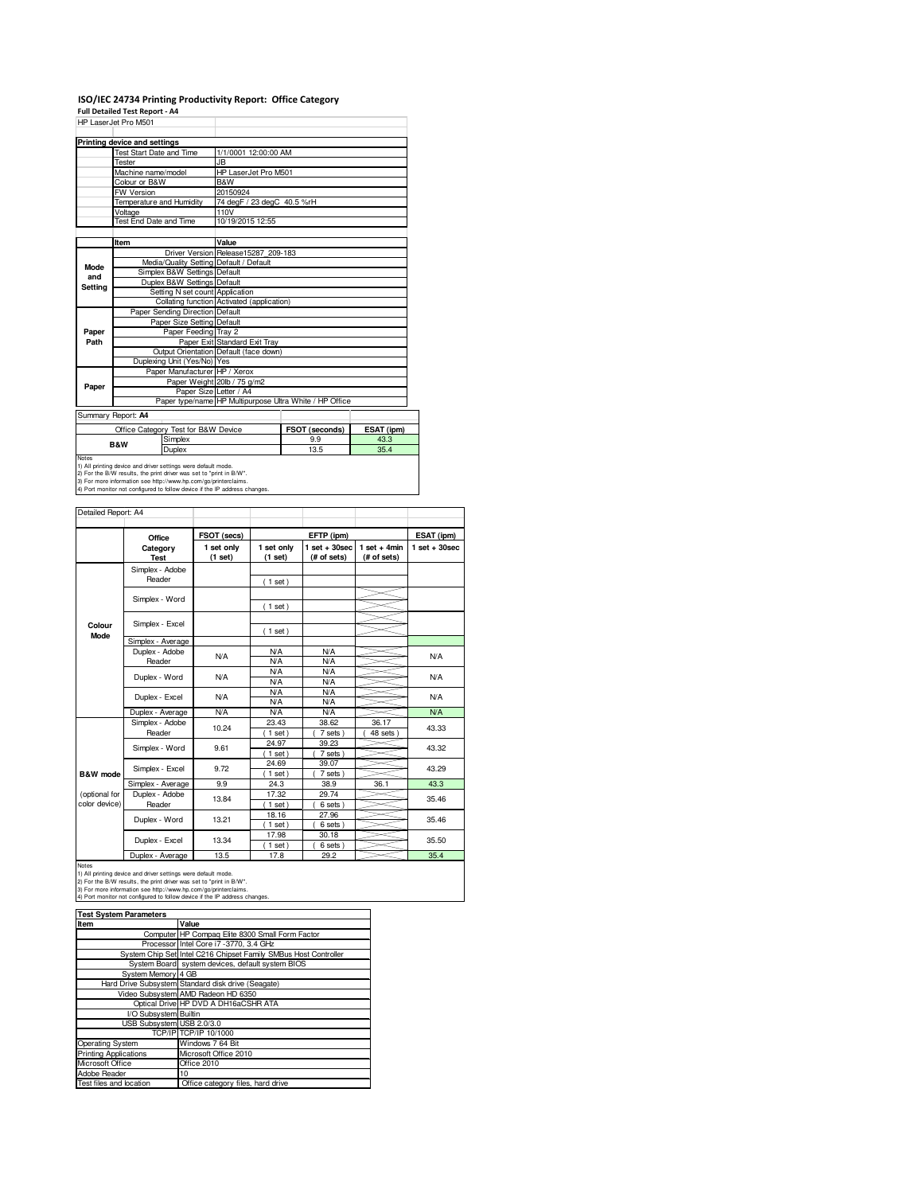# **ISO/IEC 24734 Printing Productivity Report: Office Category Full Detailed Test Report - A4**

| HP LaserJet Pro M501                |                                 |                                         |                                                         |            |  |  |
|-------------------------------------|---------------------------------|-----------------------------------------|---------------------------------------------------------|------------|--|--|
|                                     |                                 |                                         |                                                         |            |  |  |
|                                     | Printing device and settings    |                                         |                                                         |            |  |  |
|                                     | Test Start Date and Time        | 1/1/0001 12:00:00 AM                    |                                                         |            |  |  |
|                                     | <b>Tester</b>                   | <b>JB</b>                               |                                                         |            |  |  |
|                                     | Machine name/model              | HP LaserJet Pro M501                    |                                                         |            |  |  |
|                                     | Colour or B&W                   | <b>R&amp;W</b>                          |                                                         |            |  |  |
|                                     | <b>FW Version</b>               | 20150924                                |                                                         |            |  |  |
|                                     | Temperature and Humidity        | 74 degF / 23 degC 40.5 %rH              |                                                         |            |  |  |
|                                     | Voltage                         | 110V                                    |                                                         |            |  |  |
|                                     | Test End Date and Time          | 10/19/2015 12:55                        |                                                         |            |  |  |
|                                     | Item                            | Value                                   |                                                         |            |  |  |
|                                     |                                 | Driver Version Release15287 209-183     |                                                         |            |  |  |
|                                     |                                 | Media/Quality Setting Default / Default |                                                         |            |  |  |
| Mode                                | Simplex B&W Settings Default    |                                         |                                                         |            |  |  |
| and                                 | Duplex B&W Settings Default     |                                         |                                                         |            |  |  |
| Setting                             |                                 | Setting N set count Application         |                                                         |            |  |  |
|                                     |                                 |                                         | Collating function Activated (application)              |            |  |  |
|                                     | Paper Sending Direction Default |                                         |                                                         |            |  |  |
|                                     | Paper Size Setting Default      |                                         |                                                         |            |  |  |
| Paper                               |                                 | Paper Feeding Tray 2                    |                                                         |            |  |  |
| Path                                |                                 | Paper Exit Standard Exit Tray           |                                                         |            |  |  |
|                                     |                                 | Output Orientation Default (face down)  |                                                         |            |  |  |
|                                     | Duplexing Unit (Yes/No) Yes     |                                         |                                                         |            |  |  |
|                                     |                                 | Paper Manufacturer HP / Xerox           |                                                         |            |  |  |
| Paper                               |                                 | Paper Weight 20lb / 75 g/m2             |                                                         |            |  |  |
|                                     |                                 | Paper Size Letter / A4                  |                                                         |            |  |  |
|                                     |                                 |                                         | Paper type/name HP Multipurpose Ultra White / HP Office |            |  |  |
|                                     | Summary Report: A4              |                                         |                                                         |            |  |  |
| Office Category Test for B&W Device |                                 |                                         | FSOT (seconds)                                          | ESAT (ipm) |  |  |
| Simplex<br><b>B&amp;W</b><br>Duplex |                                 |                                         | 9.9                                                     | 43.3       |  |  |
|                                     |                                 |                                         | 13.5                                                    | 35.4       |  |  |

| Detailed Report: A4 |                           |                       |                          |                                  |                               |                 |
|---------------------|---------------------------|-----------------------|--------------------------|----------------------------------|-------------------------------|-----------------|
|                     | Office                    | FSOT (secs)           |                          | EFTP (ipm)                       |                               | ESAT (ipm)      |
|                     | Category<br><b>Test</b>   | 1 set only<br>(1 set) | 1 set only<br>(1 set)    | $1$ set $+30$ sec<br>(# of sets) | $1$ set + 4min<br>(# of sets) | $1$ set + 30sec |
|                     | Simplex - Adobe<br>Reader |                       | (1 set)                  |                                  |                               |                 |
|                     | Simplex - Word            |                       | (1 set)                  |                                  |                               |                 |
| Colour<br>Mode      | Simplex - Excel           |                       | (1 set)                  |                                  |                               |                 |
|                     | Simplex - Average         |                       |                          |                                  |                               |                 |
|                     | Duplex - Adobe<br>Reader  | <b>N/A</b>            | <b>N/A</b><br><b>N/A</b> | <b>N/A</b><br><b>N/A</b>         |                               | <b>N/A</b>      |
|                     | Duplex - Word             | <b>N/A</b>            | <b>N/A</b><br><b>N/A</b> | <b>N/A</b><br><b>N/A</b>         |                               | <b>N/A</b>      |
|                     | Duplex - Excel            | N/A                   | <b>N/A</b><br><b>N/A</b> | <b>N/A</b><br><b>N/A</b>         |                               | N/A             |
|                     | Duplex - Average          | <b>N/A</b>            | <b>N/A</b>               | <b>N/A</b>                       |                               | <b>N/A</b>      |
|                     | Simplex - Adobe<br>Reader | 10.24                 | 23.43<br>$1$ set         | 38.62<br>7 sets)                 | 36.17<br>48 sets              | 43.33           |
|                     | Simplex - Word            | 9.61                  | 24.97<br>$1$ set)        | 39.23<br>7 sets)                 |                               | 43.32           |
| B&W mode            | Simplex - Excel           | 9.72                  | 24.69<br>$1$ set)        | 39.07<br>7 sets)                 |                               | 43.29           |
|                     | Simplex - Average         | 9.9                   | 24.3                     | 38.9                             | 36.1                          | 43.3            |
| (optional for       | Duplex - Adobe            | 10.01                 | 17.32                    | 29.74                            |                               | OF AC           |

 $(6 \text{ sets})$ <br> $27.96$ 

35.46

35.46 35.50

 $(6 \text{ sets})$ <br> $30.18$ 

1 set ) ( 6 sets )<br>17.8 29.2

 $(1 \text{ set})$ <br>18.16  $\frac{(1 \text{ set})}{17.98}$ <br>(1 set) 13.34 Duplex - Adobe Reader Duplex - Word Duplex - Excel 13.21

(optional for color device)

Duplex - Average | 13.5 | 17.8 | 29.2 |<br>
1) All printing device and driver settings were default mode.<br>
2) For the B/W results, the print driver was set to "print in B/W".<br>
3) For more information see http://www.hp.com/go

| <b>Test System Parameters</b> |                                                                 |  |  |  |
|-------------------------------|-----------------------------------------------------------------|--|--|--|
| Item                          | Value                                                           |  |  |  |
|                               | Computer HP Compag Elite 8300 Small Form Factor                 |  |  |  |
|                               | Processor Intel Core i7 -3770, 3.4 GHz                          |  |  |  |
|                               | System Chip Set Intel C216 Chipset Family SMBus Host Controller |  |  |  |
|                               | System Board system devices, default system BIOS                |  |  |  |
| System Memory 4 GB            |                                                                 |  |  |  |
|                               | Hard Drive Subsystem Standard disk drive (Seagate)              |  |  |  |
|                               | Video Subsystem AMD Radeon HD 6350                              |  |  |  |
|                               | Optical Drive HP DVD A DH16aCSHR ATA                            |  |  |  |
| I/O Subsystem Builtin         |                                                                 |  |  |  |
| USB Subsystem USB 2.0/3.0     |                                                                 |  |  |  |
|                               | TCP/IP TCP/IP 10/1000                                           |  |  |  |
| <b>Operating System</b>       | Windows 7 64 Bit                                                |  |  |  |
| <b>Printing Applications</b>  | Microsoft Office 2010                                           |  |  |  |
| Microsoft Office              | Office 2010                                                     |  |  |  |
| Adobe Reader                  | 10                                                              |  |  |  |
| Test files and location       | Office category files, hard drive                               |  |  |  |

13.84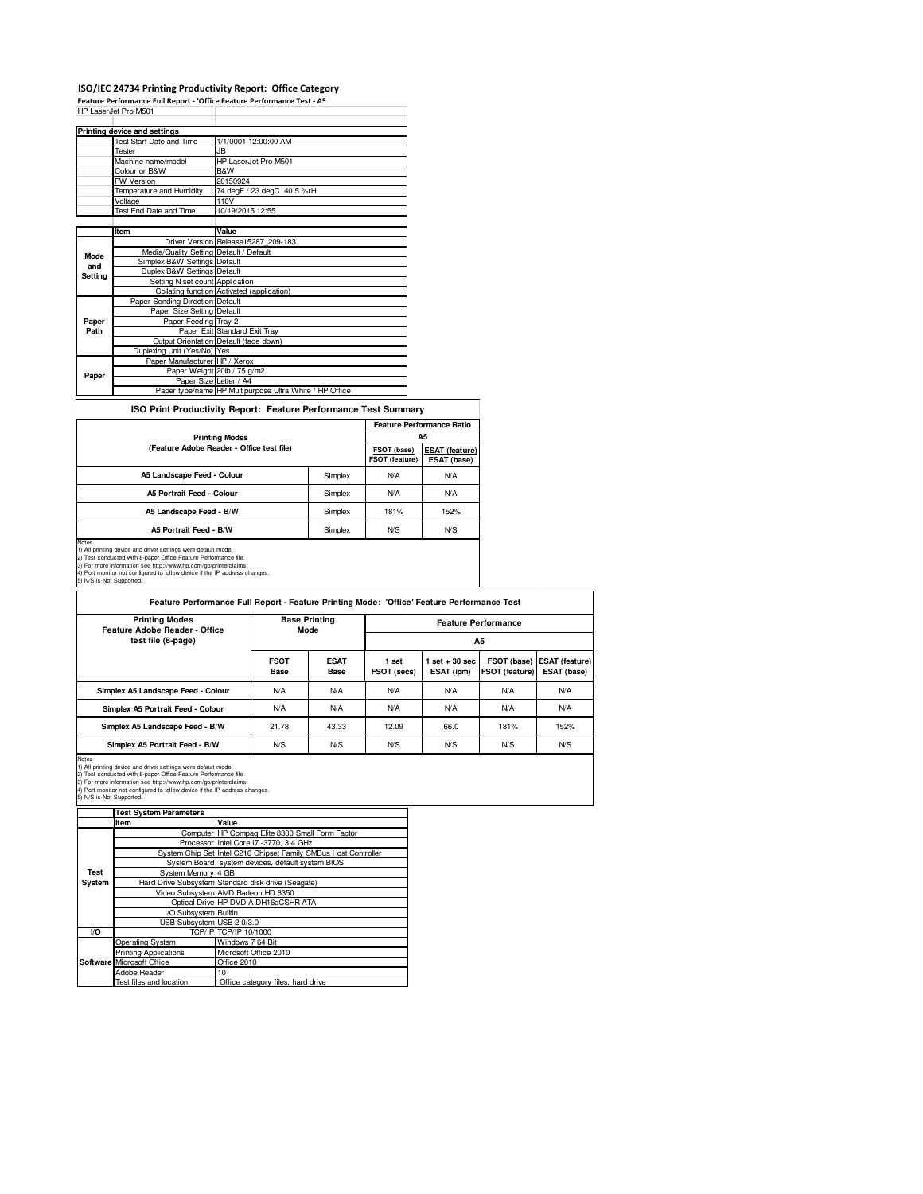#### **ISO/IEC 24734 Printing Productivity Report: Office Category**

**Feature Performance Full Report - 'Office Feature Performance Test - A5** HP LaserJet Pro M501

|         | HP LaserJet Pro M50T                    |                                                         |
|---------|-----------------------------------------|---------------------------------------------------------|
|         |                                         |                                                         |
|         | Printing device and settings            |                                                         |
|         | Test Start Date and Time                | 1/1/0001 12:00:00 AM                                    |
|         | Tester                                  | JB.                                                     |
|         | Machine name/model                      | HP LaserJet Pro M501                                    |
|         | Colour or B&W                           | B&W                                                     |
|         | <b>FW Version</b>                       | 20150924                                                |
|         | Temperature and Humidity                | 74 degF / 23 degC 40.5 %rH                              |
|         | Voltage                                 | 110V                                                    |
|         | Test End Date and Time                  | 10/19/2015 12:55                                        |
|         |                                         |                                                         |
|         | Item                                    | Value                                                   |
|         |                                         | Driver Version Release15287 209-183                     |
| Mode    | Media/Quality Setting Default / Default |                                                         |
| and     | Simplex B&W Settings Default            |                                                         |
| Setting | Duplex B&W Settings Default             |                                                         |
|         | Setting N set count Application         |                                                         |
|         |                                         | Collating function Activated (application)              |
|         | Paper Sending Direction Default         |                                                         |
|         | Paper Size Setting Default              |                                                         |
| Paper   | Paper Feeding Tray 2                    |                                                         |
| Path    |                                         | Paper Exit Standard Exit Tray                           |
|         |                                         | Output Orientation Default (face down)                  |
|         | Duplexing Unit (Yes/No) Yes             |                                                         |
|         | Paper Manufacturer HP / Xerox           |                                                         |
| Paper   |                                         | Paper Weight 20lb / 75 g/m2                             |
|         | Paper Size Letter / A4                  |                                                         |
|         |                                         | Paper type/name HP Multipurpose Ultra White / HP Office |

#### **ISO Print Productivity Report: Feature Performance Test Summary**

|                                           |         | <b>Feature Performance Ratio</b> |                                      |  |
|-------------------------------------------|---------|----------------------------------|--------------------------------------|--|
| <b>Printing Modes</b>                     |         |                                  | А5                                   |  |
| (Feature Adobe Reader - Office test file) |         | FSOT (base)<br>FSOT (feature)    | <b>ESAT (feature)</b><br>ESAT (base) |  |
| A5 Landscape Feed - Colour                | Simplex | <b>N/A</b>                       | <b>N/A</b>                           |  |
| A5 Portrait Feed - Colour                 | Simplex | <b>N/A</b>                       | <b>N/A</b>                           |  |
| A5 Landscape Feed - B/W                   | Simplex | 181%                             | 152%                                 |  |
| A5 Portrait Feed - B/W                    | Simplex | N <sub>S</sub>                   | N <sub>S</sub>                       |  |

Notes<br>1) All printing device and driver settings were default mode.<br>2) Test conducted with 8-paper Office Feature Performance file.<br>3) For more information see http://www.hp.com/go/printerclaims.<br>4) Port monitor not config

| <b>Printing Modes</b><br>Feature Adobe Reader - Office | <b>Base Printing</b><br>Mode |                     | <b>Feature Performance</b> |                                 |                                      |                                       |  |
|--------------------------------------------------------|------------------------------|---------------------|----------------------------|---------------------------------|--------------------------------------|---------------------------------------|--|
| test file (8-page)                                     |                              |                     | <b>A5</b>                  |                                 |                                      |                                       |  |
|                                                        | <b>FSOT</b><br>Base          | <b>ESAT</b><br>Base | 1 set<br>FSOT (secs)       | $1$ set $+30$ sec<br>ESAT (ipm) | FSOT (base)<br><b>FSOT (feature)</b> | <b>IESAT (feature)</b><br>ESAT (base) |  |
| Simplex A5 Landscape Feed - Colour                     | <b>N/A</b>                   | <b>N/A</b>          | <b>N/A</b>                 | <b>N/A</b>                      | <b>N/A</b>                           | <b>N/A</b>                            |  |
| Simplex A5 Portrait Feed - Colour                      | <b>N/A</b>                   | N/A                 | <b>N/A</b>                 | <b>N/A</b>                      | <b>N/A</b>                           | <b>N/A</b>                            |  |
| Simplex A5 Landscape Feed - B/W                        | 21.78                        | 43.33               | 12.09                      | 66.0                            | 181%                                 | 152%                                  |  |
| Simplex A5 Portrait Feed - B/W                         | N/S                          | N <sub>S</sub>      | N <sub>S</sub>             | N <sub>S</sub>                  | N <sub>S</sub>                       | N <sub>S</sub>                        |  |

Notes<br>1) All printing device and driver settings were default mode.<br>2) Test conducted with 8-paper Office Feature Performance file<br>3) For more information see http://www.hp.com/go/printerclaims.<br>4) Port monitor not configu

|                | <b>Test System Parameters</b> |                                                                 |
|----------------|-------------------------------|-----------------------------------------------------------------|
|                | Item                          | Value                                                           |
|                |                               | Computer HP Compag Elite 8300 Small Form Factor                 |
|                |                               | Processor Intel Core i7 -3770, 3.4 GHz                          |
|                |                               | System Chip Set Intel C216 Chipset Family SMBus Host Controller |
|                |                               | System Board system devices, default system BIOS                |
| <b>Test</b>    | System Memory 4 GB            |                                                                 |
| System         |                               | Hard Drive Subsystem Standard disk drive (Seagate)              |
|                |                               | Video Subsystem AMD Radeon HD 6350                              |
|                |                               | Optical Drive HP DVD A DH16aCSHR ATA                            |
|                | I/O Subsystem Builtin         |                                                                 |
|                | USB Subsystem USB 2.0/3.0     |                                                                 |
| V <sub>O</sub> |                               | TCP/IP TCP/IP 10/1000                                           |
|                | Operating System              | Windows 7 64 Bit                                                |
|                | <b>Printing Applications</b>  | Microsoft Office 2010                                           |
|                | Software Microsoft Office     | Office 2010                                                     |
|                | Adobe Reader                  | 10                                                              |
|                | Test files and location       | Office category files, hard drive                               |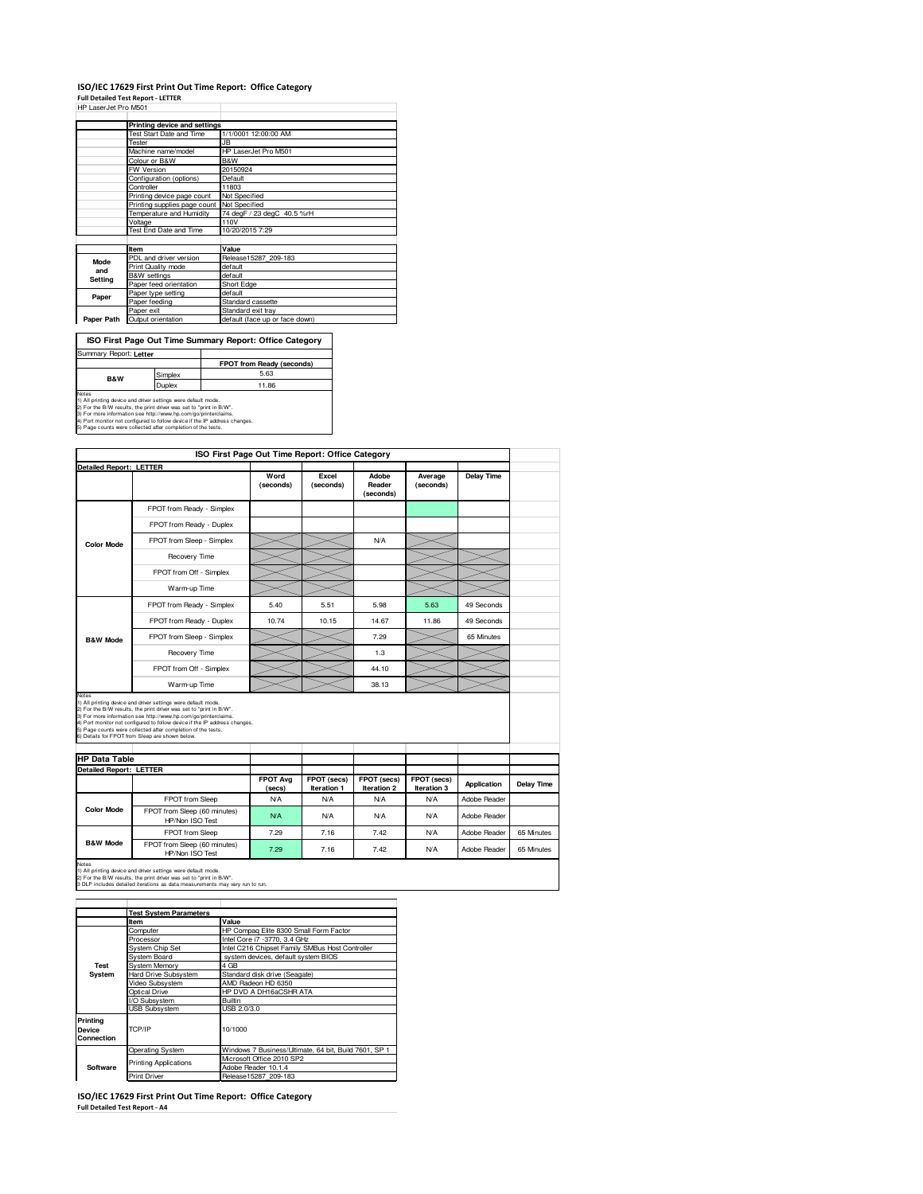## **ISO/IEC 17629 First Print Out Time Report: Office Category Full Detailed Test Report - LETTER**

|                      | . |  |
|----------------------|---|--|
| HP LaserJet Pro M501 |   |  |

|                                            | Printing device and settings    |                                |  |  |
|--------------------------------------------|---------------------------------|--------------------------------|--|--|
|                                            | <b>Test Start Date and Time</b> | 1/1/0001 12:00:00 AM           |  |  |
|                                            | Tester                          | JB                             |  |  |
|                                            | Machine name/model              | HP LaserJet Pro M501           |  |  |
|                                            | Colour or B&W                   | B&W                            |  |  |
|                                            | FW Version                      | 20150924                       |  |  |
|                                            | Configuration (options)         | Default                        |  |  |
|                                            | Controller                      | 11803                          |  |  |
|                                            | Printing device page count      | Not Specified                  |  |  |
| Printing supplies page count Not Specified |                                 |                                |  |  |
|                                            | Temperature and Humidity        | 74 degF / 23 degC 40.5 %rH     |  |  |
|                                            | Voltage                         | 110V                           |  |  |
|                                            | Test End Date and Time          | 10/20/2015 7:29                |  |  |
|                                            |                                 |                                |  |  |
|                                            | Item                            | Value                          |  |  |
| Mode                                       | PDL and driver version          | Release15287 209-183           |  |  |
| and                                        | Print Quality mode              | default                        |  |  |
|                                            | <b>B&amp;W</b> settings         | default                        |  |  |
| Setting                                    | Paper feed orientation          | Short Edge                     |  |  |
|                                            | Paper type setting              | default                        |  |  |
| Paper                                      | Paper feeding                   | Standard cassette              |  |  |
|                                            | Paper exit                      | Standard exit tray             |  |  |
| Paper Path                                 | Output orientation              | default (face up or face down) |  |  |

**ISO First Page Out Time Summary Report: Office Category**

| Summary Report: Letter                                                                                                                                                                                                                                                                                                                                         |               |                                  |  |  |  |
|----------------------------------------------------------------------------------------------------------------------------------------------------------------------------------------------------------------------------------------------------------------------------------------------------------------------------------------------------------------|---------------|----------------------------------|--|--|--|
|                                                                                                                                                                                                                                                                                                                                                                |               | <b>FPOT from Ready (seconds)</b> |  |  |  |
| <b>B&amp;W</b>                                                                                                                                                                                                                                                                                                                                                 | Simplex       | 5.63                             |  |  |  |
|                                                                                                                                                                                                                                                                                                                                                                | <b>Duplex</b> | 11.86                            |  |  |  |
| Notes<br>1) All printing device and driver settings were default mode.<br>2) For the B/W results, the print driver was set to "print in B/W".<br>3) For more information see http://www.hp.com/go/printerclaims.<br>4) Port monitor not configured to follow device if the IP address changes.<br>5) Page counts were collected after completion of the tests. |               |                                  |  |  |  |

|                                | ISO First Page Out Time Report: Office Category                                                                                                                                                                                                                                                                                                                                                          |                           |                            |                              |                            |                    |            |
|--------------------------------|----------------------------------------------------------------------------------------------------------------------------------------------------------------------------------------------------------------------------------------------------------------------------------------------------------------------------------------------------------------------------------------------------------|---------------------------|----------------------------|------------------------------|----------------------------|--------------------|------------|
| <b>Detailed Report: LETTER</b> |                                                                                                                                                                                                                                                                                                                                                                                                          | Word<br>(seconds)         | Excel<br>(seconds)         | Adobe<br>Reader<br>(seconds) | Average<br>(seconds)       | <b>Delay Time</b>  |            |
|                                | FPOT from Ready - Simplex                                                                                                                                                                                                                                                                                                                                                                                |                           |                            |                              |                            |                    |            |
|                                | FPOT from Ready - Duplex                                                                                                                                                                                                                                                                                                                                                                                 |                           |                            |                              |                            |                    |            |
| <b>Color Mode</b>              | FPOT from Sleep - Simplex                                                                                                                                                                                                                                                                                                                                                                                |                           |                            | <b>N/A</b>                   |                            |                    |            |
|                                | Recovery Time                                                                                                                                                                                                                                                                                                                                                                                            |                           |                            |                              |                            |                    |            |
|                                | FPOT from Off - Simplex                                                                                                                                                                                                                                                                                                                                                                                  |                           |                            |                              |                            |                    |            |
|                                | Warm-up Time                                                                                                                                                                                                                                                                                                                                                                                             |                           |                            |                              |                            |                    |            |
|                                | FPOT from Ready - Simplex                                                                                                                                                                                                                                                                                                                                                                                | 5.40                      | 5.51                       | 5.98                         | 5.63                       | 49 Seconds         |            |
|                                | FPOT from Ready - Duplex                                                                                                                                                                                                                                                                                                                                                                                 | 10.74                     | 10.15                      | 14.67                        | 11.86                      | 49 Seconds         |            |
| <b>B&amp;W Mode</b>            | FPOT from Sleep - Simplex                                                                                                                                                                                                                                                                                                                                                                                |                           |                            | 7.29                         |                            | 65 Minutes         |            |
|                                | Recovery Time                                                                                                                                                                                                                                                                                                                                                                                            |                           |                            | 1.3                          |                            |                    |            |
|                                | FPOT from Off - Simplex                                                                                                                                                                                                                                                                                                                                                                                  |                           |                            | 44.10                        |                            |                    |            |
|                                | Warm-up Time                                                                                                                                                                                                                                                                                                                                                                                             |                           |                            | 38.13                        |                            |                    |            |
| Notes                          | 1) All printing device and driver settings were default mode.<br>2) For the B/W results, the print driver was set to "print in B/W".<br>3) For more information see http://www.hp.com/go/printerclaims.<br>4) Port monitor not configured to follow device if the IP address changes.<br>5) Page counts were collected after completion of the tests.<br>6) Details for FPOT from Sleep are shown below. |                           |                            |                              |                            |                    |            |
| <b>HP Data Table</b>           |                                                                                                                                                                                                                                                                                                                                                                                                          |                           |                            |                              |                            |                    |            |
| <b>Detailed Report: LETTER</b> |                                                                                                                                                                                                                                                                                                                                                                                                          |                           |                            |                              |                            |                    |            |
|                                |                                                                                                                                                                                                                                                                                                                                                                                                          | <b>FPOT Avg</b><br>(secs) | FPOT (secs)<br>Iteration 1 | FPOT (secs)<br>Iteration 2   | FPOT (secs)<br>Iteration 3 | <b>Application</b> | Delay Time |
|                                | FPOT from Sleep                                                                                                                                                                                                                                                                                                                                                                                          | <b>N/A</b>                | <b>N/A</b>                 | N/A                          | <b>N/A</b>                 | Adobe Reader       |            |
| <b>Color Mode</b>              | FPOT from Sleep (60 minutes)<br>HP/Non ISO Test                                                                                                                                                                                                                                                                                                                                                          | <b>N/A</b>                | <b>N/A</b>                 | <b>N/A</b>                   | <b>N/A</b>                 | Adobe Reader       |            |
|                                |                                                                                                                                                                                                                                                                                                                                                                                                          |                           |                            |                              |                            |                    |            |
| <b>B&amp;W Mode</b>            | FPOT from Sleep                                                                                                                                                                                                                                                                                                                                                                                          | 7.29                      | 7.16                       | 7.42                         | <b>N/A</b>                 | Adobe Reader       | 65 Minutes |

1) All printing device and driver settings were default mode.<br>2) For the B/W results, the print driver was set to "print in B/W".<br>3 DLP includes detailed iterations as data measurements may vary run to run.

|                                  | <b>Test System Parameters</b> |                                                       |  |  |  |  |
|----------------------------------|-------------------------------|-------------------------------------------------------|--|--|--|--|
|                                  | Item                          | Value                                                 |  |  |  |  |
|                                  | Computer                      | HP Compag Elite 8300 Small Form Factor                |  |  |  |  |
|                                  | Processor                     | Intel Core i7 -3770, 3.4 GHz                          |  |  |  |  |
|                                  | <b>System Chip Set</b>        | Intel C216 Chipset Family SMBus Host Controller       |  |  |  |  |
|                                  | System Board                  | system devices, default system BIOS                   |  |  |  |  |
| System Memory<br>Test            |                               | 4 GB                                                  |  |  |  |  |
| System                           | <b>Hard Drive Subsystem</b>   | Standard disk drive (Seagate)                         |  |  |  |  |
|                                  | Video Subsystem               | AMD Radeon HD 6350                                    |  |  |  |  |
|                                  | Optical Drive                 | HP DVD A DH16aCSHR ATA                                |  |  |  |  |
|                                  | I/O Subsystem                 | Builtin                                               |  |  |  |  |
|                                  | <b>USB Subsystem</b>          | USB 2.0/3.0                                           |  |  |  |  |
| Printing<br>Device<br>Connection | TCP/IP                        | 10/1000                                               |  |  |  |  |
|                                  | Operating System              | Windows 7 Business/Ultimate, 64 bit, Build 7601, SP 1 |  |  |  |  |
|                                  |                               | Microsoft Office 2010 SP2                             |  |  |  |  |
| Software                         | <b>Printing Applications</b>  | Adobe Reader 10.1.4                                   |  |  |  |  |
|                                  | <b>Print Driver</b>           | Release15287 209-183                                  |  |  |  |  |

**ISO/IEC 17629 First Print Out Time Report: Office Category Full Detailed Test Report - A4**